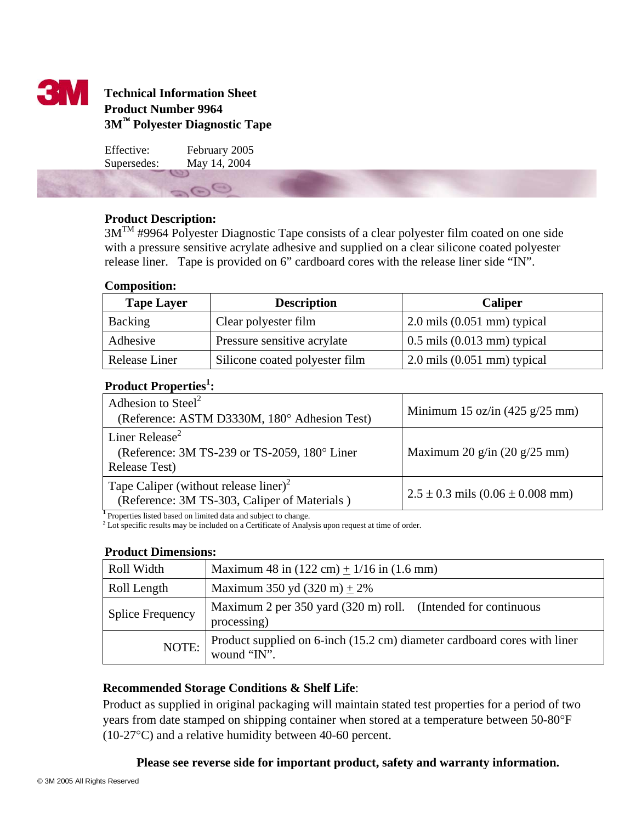

# **Technical Information Sheet Product Number 9964 3M**™ **Polyester Diagnostic Tape**

Effective: February 2005 Supersedes: May 14, 2004

 $\Theta$ 

# **Product Description:**

3MTM #9964 Polyester Diagnostic Tape consists of a clear polyester film coated on one side with a pressure sensitive acrylate adhesive and supplied on a clear silicone coated polyester release liner. Tape is provided on 6" cardboard cores with the release liner side "IN".

# **Composition:**

| <b>Tape Layer</b> | <b>Description</b>             | <b>Caliper</b>                       |
|-------------------|--------------------------------|--------------------------------------|
| Backing           | Clear polyester film           | $2.0$ mils $(0.051$ mm) typical      |
| Adhesive          | Pressure sensitive acrylate    | $0.5$ mils $(0.013$ mm) typical      |
| Release Liner     | Silicone coated polyester film | $\geq 2.0$ mils $(0.051$ mm) typical |

# Product Properties<sup>1</sup>:

| Adhesion to Steel <sup>2</sup><br>(Reference: ASTM D3330M, 180° Adhesion Test)                      | Minimum 15 oz/in $(425 \text{ g}/25 \text{ mm})$ |
|-----------------------------------------------------------------------------------------------------|--------------------------------------------------|
| Liner Release <sup>2</sup><br>(Reference: 3M TS-239 or TS-2059, 180° Liner<br><b>Release Test</b> ) | Maximum 20 g/in $(20 \text{ g}/25 \text{ mm})$   |
| Tape Caliper (without release liner) <sup>2</sup><br>(Reference: 3M TS-303, Caliper of Materials)   | $2.5 \pm 0.3$ mils $(0.06 \pm 0.008$ mm)         |

<sup>1</sup> Properties listed based on limited data and subject to change.

<sup>2</sup> Lot specific results may be included on a Certificate of Analysis upon request at time of order.

# **Product Dimensions:**

| Roll Width              | Maximum 48 in $(122 \text{ cm}) + 1/16$ in $(1.6 \text{ mm})$                           |  |
|-------------------------|-----------------------------------------------------------------------------------------|--|
| Roll Length             | Maximum 350 yd $(320 \text{ m}) + 2\%$                                                  |  |
| <b>Splice Frequency</b> | Maximum 2 per 350 yard (320 m) roll. (Intended for continuous<br>processing)            |  |
| NOTE:                   | Product supplied on 6-inch (15.2 cm) diameter cardboard cores with liner<br>wound "IN". |  |

# **Recommended Storage Conditions & Shelf Life**:

Product as supplied in original packaging will maintain stated test properties for a period of two years from date stamped on shipping container when stored at a temperature between 50-80°F (10-27°C) and a relative humidity between 40-60 percent.

# **Please see reverse side for important product, safety and warranty information.**